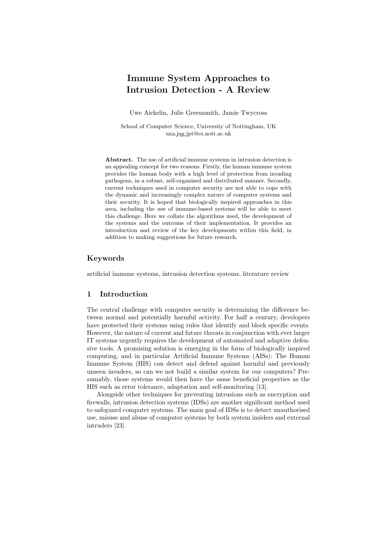# Immune System Approaches to Intrusion Detection - A Review

Uwe Aickelin, Julie Greensmith, Jamie Twycross

School of Computer Science, University of Nottingham, UK uxa,jqg,jpt@cs.nott.ac.uk

Abstract. The use of artificial immune systems in intrusion detection is an appealing concept for two reasons. Firstly, the human immune system provides the human body with a high level of protection from invading pathogens, in a robust, self-organised and distributed manner. Secondly, current techniques used in computer security are not able to cope with the dynamic and increasingly complex nature of computer systems and their security. It is hoped that biologically inspired approaches in this area, including the use of immune-based systems will be able to meet this challenge. Here we collate the algorithms used, the development of the systems and the outcome of their implementation. It provides an introduction and review of the key developments within this field, in addition to making suggestions for future research.

### Keywords

artificial immune systems, intrusion detection systems, literature review

### 1 Introduction

The central challenge with computer security is determining the difference between normal and potentially harmful activity. For half a century, developers have protected their systems using rules that identify and block specific events. However, the nature of current and future threats in conjunction with ever larger IT systems urgently requires the development of automated and adaptive defensive tools. A promising solution is emerging in the form of biologically inspired computing, and in particular Artificial Immune Systems (AISs): The Human Immune System (HIS) can detect and defend against harmful and previously unseen invaders, so can we not build a similar system for our computers? Presumably, those systems would then have the same beneficial properties as the HIS such as error tolerance, adaptation and self-monitoring [13].

Alongside other techniques for preventing intrusions such as encryption and firewalls, intrusion detection systems (IDSs) are another significant method used to safeguard computer systems. The main goal of IDSs is to detect unauthorised use, misuse and abuse of computer systems by both system insiders and external intruders [23].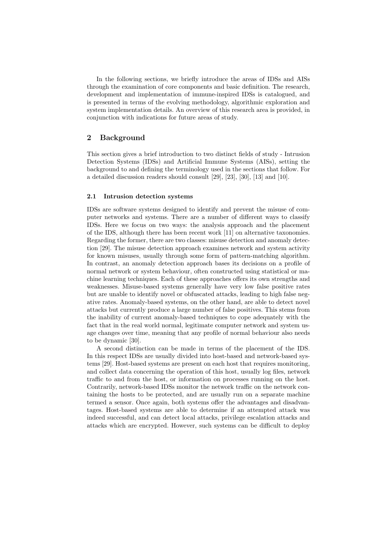In the following sections, we briefly introduce the areas of IDSs and AISs through the examination of core components and basic definition. The research, development and implementation of immune-inspired IDSs is catalogued, and is presented in terms of the evolving methodology, algorithmic exploration and system implementation details. An overview of this research area is provided, in conjunction with indications for future areas of study.

### 2 Background

This section gives a brief introduction to two distinct fields of study - Intrusion Detection Systems (IDSs) and Artificial Immune Systems (AISs), setting the background to and defining the terminology used in the sections that follow. For a detailed discussion readers should consult [29], [23], [30], [13] and [10].

#### 2.1 Intrusion detection systems

IDSs are software systems designed to identify and prevent the misuse of computer networks and systems. There are a number of different ways to classify IDSs. Here we focus on two ways: the analysis approach and the placement of the IDS, although there has been recent work [11] on alternative taxonomies. Regarding the former, there are two classes: misuse detection and anomaly detection [29]. The misuse detection approach examines network and system activity for known misuses, usually through some form of pattern-matching algorithm. In contrast, an anomaly detection approach bases its decisions on a profile of normal network or system behaviour, often constructed using statistical or machine learning techniques. Each of these approaches offers its own strengths and weaknesses. Misuse-based systems generally have very low false positive rates but are unable to identify novel or obfuscated attacks, leading to high false negative rates. Anomaly-based systems, on the other hand, are able to detect novel attacks but currently produce a large number of false positives. This stems from the inability of current anomaly-based techniques to cope adequately with the fact that in the real world normal, legitimate computer network and system usage changes over time, meaning that any profile of normal behaviour also needs to be dynamic [30].

A second distinction can be made in terms of the placement of the IDS. In this respect IDSs are usually divided into host-based and network-based systems [29]. Host-based systems are present on each host that requires monitoring, and collect data concerning the operation of this host, usually log files, network traffic to and from the host, or information on processes running on the host. Contrarily, network-based IDSs monitor the network traffic on the network containing the hosts to be protected, and are usually run on a separate machine termed a sensor. Once again, both systems offer the advantages and disadvantages. Host-based systems are able to determine if an attempted attack was indeed successful, and can detect local attacks, privilege escalation attacks and attacks which are encrypted. However, such systems can be difficult to deploy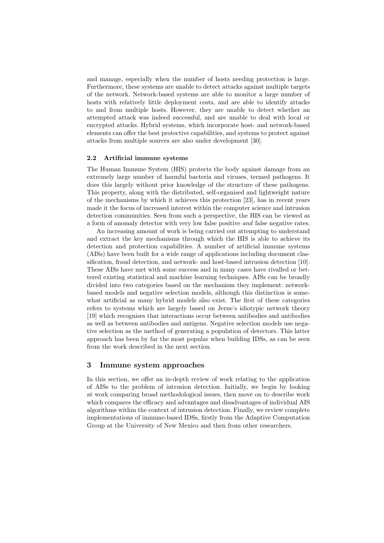and manage, especially when the number of hosts needing protection is large. Furthermore, these systems are unable to detect attacks against multiple targets of the network. Network-based systems are able to monitor a large number of hosts with relatively little deployment costs, and are able to identify attacks to and from multiple hosts. However, they are unable to detect whether an attempted attack was indeed successful, and are unable to deal with local or encrypted attacks. Hybrid systems, which incorporate host- and network-based elements can offer the best protective capabilities, and systems to protect against attacks from multiple sources are also under development [30].

#### 2.2 Artificial immune systems

The Human Immune System (HIS) protects the body against damage from an extremely large number of harmful bacteria and viruses, termed pathogens. It does this largely without prior knowledge of the structure of these pathogens. This property, along with the distributed, self-organised and lightweight nature of the mechanisms by which it achieves this protection [23], has in recent years made it the focus of increased interest within the computer science and intrusion detection communities. Seen from such a perspective, the HIS can be viewed as a form of anomaly detector with very low false positive and false negative rates.

An increasing amount of work is being carried out attempting to understand and extract the key mechanisms through which the HIS is able to achieve its detection and protection capabilities. A number of artificial immune systems (AISs) have been built for a wide range of applications including document classification, fraud detection, and network- and host-based intrusion detection [10]. These AISs have met with some success and in many cases have rivalled or bettered existing statistical and machine learning techniques. AISs can be broadly divided into two categories based on the mechanism they implement: networkbased models and negative selection models, although this distinction is somewhat artificial as many hybrid models also exist. The first of these categories refers to systems which are largely based on Jerne's idiotypic network theory [19] which recognises that interactions occur between antibodies and antibodies as well as between antibodies and antigens. Negative selection models use negative selection as the method of generating a population of detectors. This latter approach has been by far the most popular when building IDSs, as can be seen from the work described in the next section.

### 3 Immune system approaches

In this section, we offer an in-depth review of work relating to the application of AISs to the problem of intrusion detection. Initially, we begin by looking at work comparing broad methodological issues, then move on to describe work which compares the efficacy and advantages and disadvantages of individual AIS algorithms within the context of intrusion detection. Finally, we review complete implementations of immune-based IDSs, firstly from the Adaptive Computation Group at the University of New Mexico and then from other researchers.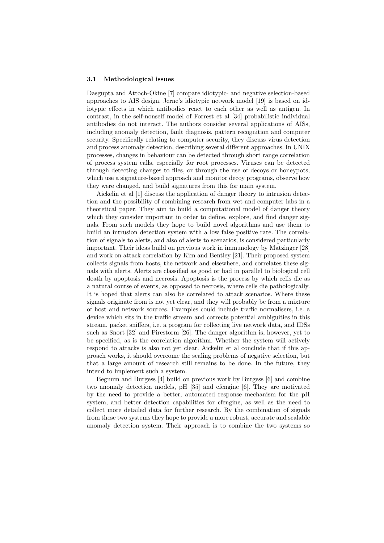#### 3.1 Methodological issues

Dasgupta and Attoch-Okine [7] compare idiotypic- and negative selection-based approaches to AIS design. Jerne's idiotypic network model [19] is based on idiotypic effects in which antibodies react to each other as well as antigen. In contrast, in the self-nonself model of Forrest et al [34] probabilistic individual antibodies do not interact. The authors consider several applications of AISs, including anomaly detection, fault diagnosis, pattern recognition and computer security. Specifically relating to computer security, they discuss virus detection and process anomaly detection, describing several different approaches. In UNIX processes, changes in behaviour can be detected through short range correlation of process system calls, especially for root processes. Viruses can be detected through detecting changes to files, or through the use of decoys or honeypots, which use a signature-based approach and monitor decoy programs, observe how they were changed, and build signatures from this for main system.

Aickelin et al [1] discuss the application of danger theory to intrusion detection and the possibility of combining research from wet and computer labs in a theoretical paper. They aim to build a computational model of danger theory which they consider important in order to define, explore, and find danger signals. From such models they hope to build novel algorithms and use them to build an intrusion detection system with a low false positive rate. The correlation of signals to alerts, and also of alerts to scenarios, is considered particularly important. Their ideas build on previous work in immunology by Matzinger [28] and work on attack correlation by Kim and Bentley [21]. Their proposed system collects signals from hosts, the network and elsewhere, and correlates these signals with alerts. Alerts are classified as good or bad in parallel to biological cell death by apoptosis and necrosis. Apoptosis is the process by which cells die as a natural course of events, as opposed to necrosis, where cells die pathologically. It is hoped that alerts can also be correlated to attack scenarios. Where these signals originate from is not yet clear, and they will probably be from a mixture of host and network sources. Examples could include traffic normalisers, i.e. a device which sits in the traffic stream and corrects potential ambiguities in this stream, packet sniffers, i.e. a program for collecting live network data, and IDSs such as Snort [32] and Firestorm [26]. The danger algorithm is, however, yet to be specified, as is the correlation algorithm. Whether the system will actively respond to attacks is also not yet clear. Aickelin et al conclude that if this approach works, it should overcome the scaling problems of negative selection, but that a large amount of research still remains to be done. In the future, they intend to implement such a system.

Begnum and Burgess [4] build on previous work by Burgess [6] and combine two anomaly detection models, pH [35] and cfengine [6]. They are motivated by the need to provide a better, automated response mechanism for the pH system, and better detection capabilities for cfengine, as well as the need to collect more detailed data for further research. By the combination of signals from these two systems they hope to provide a more robust, accurate and scalable anomaly detection system. Their approach is to combine the two systems so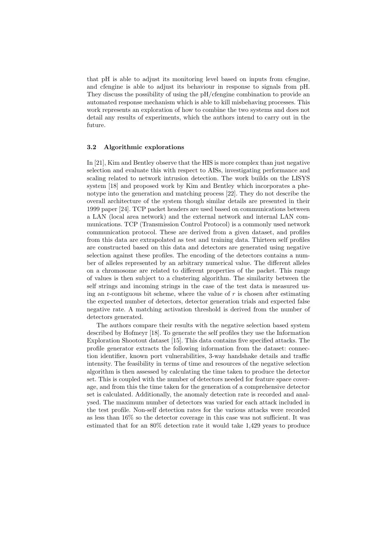that pH is able to adjust its monitoring level based on inputs from cfengine, and cfengine is able to adjust its behaviour in response to signals from pH. They discuss the possibility of using the pH/cfengine combination to provide an automated response mechanism which is able to kill misbehaving processes. This work represents an exploration of how to combine the two systems and does not detail any results of experiments, which the authors intend to carry out in the future.

#### 3.2 Algorithmic explorations

In [21], Kim and Bentley observe that the HIS is more complex than just negative selection and evaluate this with respect to AISs, investigating performance and scaling related to network intrusion detection. The work builds on the LISYS system [18] and proposed work by Kim and Bentley which incorporates a phenotype into the generation and matching process [22]. They do not describe the overall architecture of the system though similar details are presented in their 1999 paper [24]. TCP packet headers are used based on communications between a LAN (local area network) and the external network and internal LAN communications. TCP (Transmission Control Protocol) is a commonly used network communication protocol. These are derived from a given dataset, and profiles from this data are extrapolated as test and training data. Thirteen self profiles are constructed based on this data and detectors are generated using negative selection against these profiles. The encoding of the detectors contains a number of alleles represented by an arbitrary numerical value. The different alleles on a chromosome are related to different properties of the packet. This range of values is then subject to a clustering algorithm. The similarity between the self strings and incoming strings in the case of the test data is measured using an r-contiguous bit scheme, where the value of  $r$  is chosen after estimating the expected number of detectors, detector generation trials and expected false negative rate. A matching activation threshold is derived from the number of detectors generated.

The authors compare their results with the negative selection based system described by Hofmeyr [18]. To generate the self profiles they use the Information Exploration Shootout dataset [15]. This data contains five specified attacks. The profile generator extracts the following information from the dataset: connection identifier, known port vulnerabilities, 3-way handshake details and traffic intensity. The feasibility in terms of time and resources of the negative selection algorithm is then assessed by calculating the time taken to produce the detector set. This is coupled with the number of detectors needed for feature space coverage, and from this the time taken for the generation of a comprehensive detector set is calculated. Additionally, the anomaly detection rate is recorded and analysed. The maximum number of detectors was varied for each attack included in the test profile. Non-self detection rates for the various attacks were recorded as less than 16% so the detector coverage in this case was not sufficient. It was estimated that for an 80% detection rate it would take 1,429 years to produce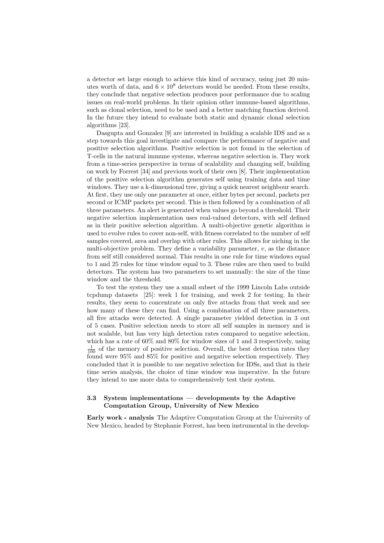a detector set large enough to achieve this kind of accuracy, using just 20 minutes worth of data, and  $6 \times 10^8$  detectors would be needed. From these results, they conclude that negative selection produces poor performance due to scaling issues on real-world problems. In their opinion other immune-based algorithms, such as clonal selection, need to be used and a better matching function derived. In the future they intend to evaluate both static and dynamic clonal selection algorithms [23].

Dasgupta and Gonzalez [9] are interested in building a scalable IDS and as a step towards this goal investigate and compare the performance of negative and positive selection algorithms. Positive selection is not found in the selection of T-cells in the natural immune systems, whereas negative selection is. They work from a time-series perspective in terms of scalability and changing self, building on work by Forrest [34] and previous work of their own [8]. Their implementation of the positive selection algorithm generates self using training data and time windows. They use a k-dimensional tree, giving a quick nearest neighbour search. At first, they use only one parameter at once, either bytes per second, packets per second or ICMP packets per second. This is then followed by a combination of all three parameters. An alert is generated when values go beyond a threshold. Their negative selection implementation uses real-valued detectors, with self defined as in their positive selection algorithm. A multi-objective genetic algorithm is used to evolve rules to cover non-self, with fitness correlated to the number of self samples covered, area and overlap with other rules. This allows for niching in the multi-objective problem. They define a variability parameter,  $v$ , as the distance from self still considered normal. This results in one rule for time windows equal to 1 and 25 rules for time window equal to 3. These rules are then used to build detectors. The system has two parameters to set manually: the size of the time window and the threshold.

To test the system they use a small subset of the 1999 Lincoln Labs outside tcpdump datasets [25]: week 1 for training, and week 2 for testing. In their results, they seem to concentrate on only five attacks from that week and see how many of these they can find. Using a combination of all three parameters, all five attacks were detected. A single parameter yielded detection in 3 out of 5 cases. Positive selection needs to store all self samples in memory and is not scalable, but has very high detection rates compared to negative selection, which has a rate of 60% and 80% for window sizes of 1 and 3 respectively, using  $\frac{1}{100}$  of the memory of positive selection. Overall, the best detection rates they found were 95% and 85% for positive and negative selection respectively. They concluded that it is possible to use negative selection for IDSs, and that in their time series analysis, the choice of time window was imperative. In the future they intend to use more data to comprehensively test their system.

## 3.3 System implementations — developments by the Adaptive Computation Group, University of New Mexico

Early work - analysis The Adaptive Computation Group at the University of New Mexico, headed by Stephanie Forrest, has been instrumental in the develop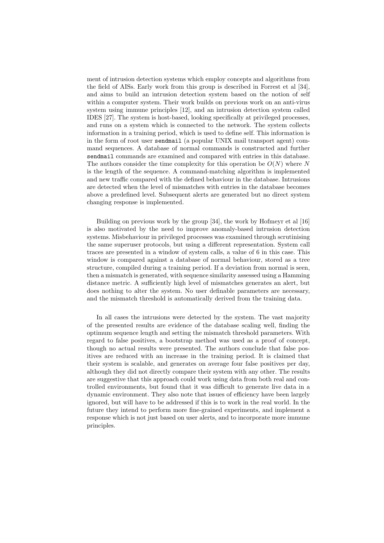ment of intrusion detection systems which employ concepts and algorithms from the field of AISs. Early work from this group is described in Forrest et al [34], and aims to build an intrusion detection system based on the notion of self within a computer system. Their work builds on previous work on an anti-virus system using immune principles [12], and an intrusion detection system called IDES [27]. The system is host-based, looking specifically at privileged processes, and runs on a system which is connected to the network. The system collects information in a training period, which is used to define self. This information is in the form of root user sendmail (a popular UNIX mail transport agent) command sequences. A database of normal commands is constructed and further sendmail commands are examined and compared with entries in this database. The authors consider the time complexity for this operation be  $O(N)$  where N is the length of the sequence. A command-matching algorithm is implemented and new traffic compared with the defined behaviour in the database. Intrusions are detected when the level of mismatches with entries in the database becomes above a predefined level. Subsequent alerts are generated but no direct system changing response is implemented.

Building on previous work by the group [34], the work by Hofmeyr et al [16] is also motivated by the need to improve anomaly-based intrusion detection systems. Misbehaviour in privileged processes was examined through scrutinising the same superuser protocols, but using a different representation. System call traces are presented in a window of system calls, a value of 6 in this case. This window is compared against a database of normal behaviour, stored as a tree structure, compiled during a training period. If a deviation from normal is seen, then a mismatch is generated, with sequence similarity assessed using a Hamming distance metric. A sufficiently high level of mismatches generates an alert, but does nothing to alter the system. No user definable parameters are necessary, and the mismatch threshold is automatically derived from the training data.

In all cases the intrusions were detected by the system. The vast majority of the presented results are evidence of the database scaling well, finding the optimum sequence length and setting the mismatch threshold parameters. With regard to false positives, a bootstrap method was used as a proof of concept, though no actual results were presented. The authors conclude that false positives are reduced with an increase in the training period. It is claimed that their system is scalable, and generates on average four false positives per day, although they did not directly compare their system with any other. The results are suggestive that this approach could work using data from both real and controlled environments, but found that it was difficult to generate live data in a dynamic environment. They also note that issues of efficiency have been largely ignored, but will have to be addressed if this is to work in the real world. In the future they intend to perform more fine-grained experiments, and implement a response which is not just based on user alerts, and to incorporate more immune principles.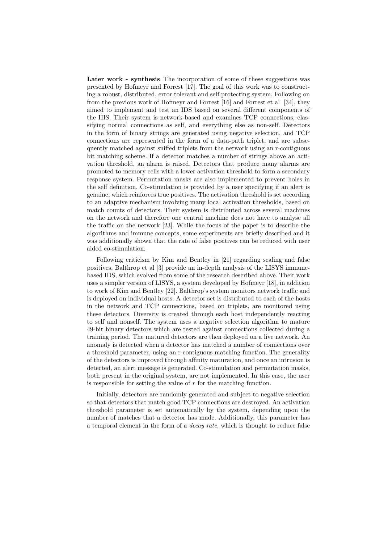Later work - synthesis The incorporation of some of these suggestions was presented by Hofmeyr and Forrest [17]. The goal of this work was to constructing a robust, distributed, error tolerant and self protecting system. Following on from the previous work of Hofmeyr and Forrest [16] and Forrest et al [34], they aimed to implement and test an IDS based on several different components of the HIS. Their system is network-based and examines TCP connections, classifying normal connections as self, and everything else as non-self. Detectors in the form of binary strings are generated using negative selection, and TCP connections are represented in the form of a data-path triplet, and are subsequently matched against sniffed triplets from the network using an r-contiguous bit matching scheme. If a detector matches a number of strings above an activation threshold, an alarm is raised. Detectors that produce many alarms are promoted to memory cells with a lower activation threshold to form a secondary response system. Permutation masks are also implemented to prevent holes in the self definition. Co-stimulation is provided by a user specifying if an alert is genuine, which reinforces true positives. The activation threshold is set according to an adaptive mechanism involving many local activation thresholds, based on match counts of detectors. Their system is distributed across several machines on the network and therefore one central machine does not have to analyse all the traffic on the network [23]. While the focus of the paper is to describe the algorithms and immune concepts, some experiments are briefly described and it was additionally shown that the rate of false positives can be reduced with user aided co-stimulation.

Following criticism by Kim and Bentley in [21] regarding scaling and false positives, Balthrop et al [3] provide an in-depth analysis of the LISYS immunebased IDS, which evolved from some of the research described above. Their work uses a simpler version of LISYS, a system developed by Hofmeyr [18], in addition to work of Kim and Bentley [22]. Balthrop's system monitors network traffic and is deployed on individual hosts. A detector set is distributed to each of the hosts in the network and TCP connections, based on triplets, are monitored using these detectors. Diversity is created through each host independently reacting to self and nonself. The system uses a negative selection algorithm to mature 49-bit binary detectors which are tested against connections collected during a training period. The matured detectors are then deployed on a live network. An anomaly is detected when a detector has matched a number of connections over a threshold parameter, using an r-contiguous matching function. The generality of the detectors is improved through affinity maturation, and once an intrusion is detected, an alert message is generated. Co-stimulation and permutation masks, both present in the original system, are not implemented. In this case, the user is responsible for setting the value of  $r$  for the matching function.

Initially, detectors are randomly generated and subject to negative selection so that detectors that match good TCP connections are destroyed. An activation threshold parameter is set automatically by the system, depending upon the number of matches that a detector has made. Additionally, this parameter has a temporal element in the form of a decay rate, which is thought to reduce false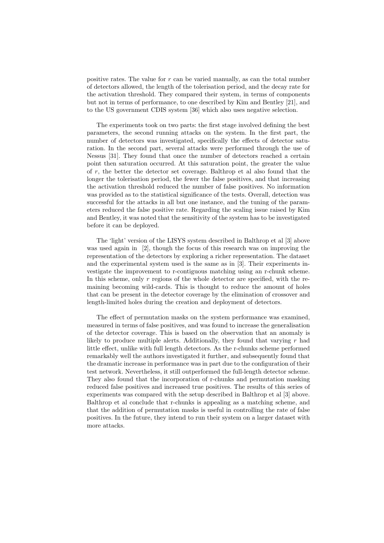positive rates. The value for  $r$  can be varied manually, as can the total number of detectors allowed, the length of the tolerisation period, and the decay rate for the activation threshold. They compared their system, in terms of components but not in terms of performance, to one described by Kim and Bentley [21], and to the US government CDIS system [36] which also uses negative selection.

The experiments took on two parts: the first stage involved defining the best parameters, the second running attacks on the system. In the first part, the number of detectors was investigated, specifically the effects of detector saturation. In the second part, several attacks were performed through the use of Nessus [31]. They found that once the number of detectors reached a certain point then saturation occurred. At this saturation point, the greater the value of r, the better the detector set coverage. Balthrop et al also found that the longer the tolerisation period, the fewer the false positives, and that increasing the activation threshold reduced the number of false positives. No information was provided as to the statistical significance of the tests. Overall, detection was successful for the attacks in all but one instance, and the tuning of the parameters reduced the false positive rate. Regarding the scaling issue raised by Kim and Bentley, it was noted that the sensitivity of the system has to be investigated before it can be deployed.

The 'light' version of the LISYS system described in Balthrop et al [3] above was used again in [2], though the focus of this research was on improving the representation of the detectors by exploring a richer representation. The dataset and the experimental system used is the same as in [3]. Their experiments investigate the improvement to r-contiguous matching using an r-chunk scheme. In this scheme, only  $r$  regions of the whole detector are specified, with the remaining becoming wild-cards. This is thought to reduce the amount of holes that can be present in the detector coverage by the elimination of crossover and length-limited holes during the creation and deployment of detectors.

The effect of permutation masks on the system performance was examined, measured in terms of false positives, and was found to increase the generalisation of the detector coverage. This is based on the observation that an anomaly is likely to produce multiple alerts. Additionally, they found that varying  $r$  had little effect, unlike with full length detectors. As the r-chunks scheme performed remarkably well the authors investigated it further, and subsequently found that the dramatic increase in performance was in part due to the configuration of their test network. Nevertheless, it still outperformed the full-length detector scheme. They also found that the incorporation of r-chunks and permutation masking reduced false positives and increased true positives. The results of this series of experiments was compared with the setup described in Balthrop et al [3] above. Balthrop et al conclude that r-chunks is appealing as a matching scheme, and that the addition of permutation masks is useful in controlling the rate of false positives. In the future, they intend to run their system on a larger dataset with more attacks.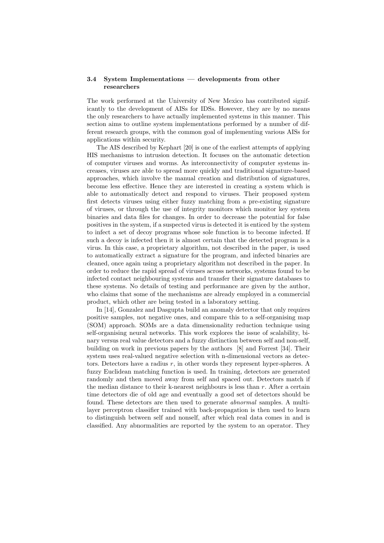#### 3.4 System Implementations — developments from other researchers

The work performed at the University of New Mexico has contributed significantly to the development of AISs for IDSs. However, they are by no means the only researchers to have actually implemented systems in this manner. This section aims to outline system implementations performed by a number of different research groups, with the common goal of implementing various AISs for applications within security.

The AIS described by Kephart [20] is one of the earliest attempts of applying HIS mechanisms to intrusion detection. It focuses on the automatic detection of computer viruses and worms. As interconnectivity of computer systems increases, viruses are able to spread more quickly and traditional signature-based approaches, which involve the manual creation and distribution of signatures, become less effective. Hence they are interested in creating a system which is able to automatically detect and respond to viruses. Their proposed system first detects viruses using either fuzzy matching from a pre-existing signature of viruses, or through the use of integrity monitors which monitor key system binaries and data files for changes. In order to decrease the potential for false positives in the system, if a suspected virus is detected it is enticed by the system to infect a set of decoy programs whose sole function is to become infected. If such a decoy is infected then it is almost certain that the detected program is a virus. In this case, a proprietary algorithm, not described in the paper, is used to automatically extract a signature for the program, and infected binaries are cleaned, once again using a proprietary algorithm not described in the paper. In order to reduce the rapid spread of viruses across networks, systems found to be infected contact neighbouring systems and transfer their signature databases to these systems. No details of testing and performance are given by the author, who claims that some of the mechanisms are already employed in a commercial product, which other are being tested in a laboratory setting.

In [14], Gonzalez and Dasgupta build an anomaly detector that only requires positive samples, not negative ones, and compare this to a self-organising map (SOM) approach. SOMs are a data dimensionality reduction technique using self-organising neural networks. This work explores the issue of scalability, binary versus real value detectors and a fuzzy distinction between self and non-self, building on work in previous papers by the authors [8] and Forrest [34]. Their system uses real-valued negative selection with n-dimensional vectors as detectors. Detectors have a radius  $r$ , in other words they represent hyper-spheres. A fuzzy Euclidean matching function is used. In training, detectors are generated randomly and then moved away from self and spaced out. Detectors match if the median distance to their k-nearest neighbours is less than r. After a certain time detectors die of old age and eventually a good set of detectors should be found. These detectors are then used to generate abnormal samples. A multilayer perceptron classifier trained with back-propagation is then used to learn to distinguish between self and nonself, after which real data comes in and is classified. Any abnormalities are reported by the system to an operator. They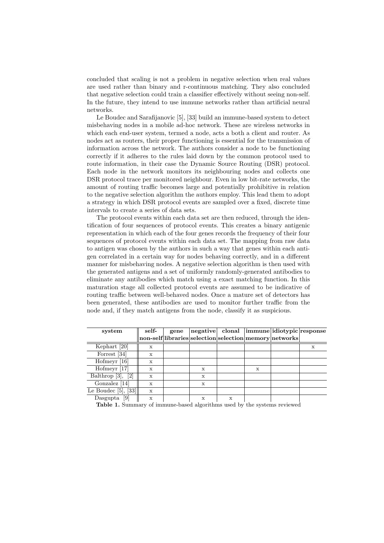concluded that scaling is not a problem in negative selection when real values are used rather than binary and r-continuous matching. They also concluded that negative selection could train a classifier effectively without seeing non-self. In the future, they intend to use immune networks rather than artificial neural networks.

Le Boudec and Sarafijanovic [5], [33] build an immune-based system to detect misbehaving nodes in a mobile ad-hoc network. These are wireless networks in which each end-user system, termed a node, acts a both a client and router. As nodes act as routers, their proper functioning is essential for the transmission of information across the network. The authors consider a node to be functioning correctly if it adheres to the rules laid down by the common protocol used to route information, in their case the Dynamic Source Routing (DSR) protocol. Each node in the network monitors its neighbouring nodes and collects one DSR protocol trace per monitored neighbour. Even in low bit-rate networks, the amount of routing traffic becomes large and potentially prohibitive in relation to the negative selection algorithm the authors employ. This lead them to adopt a strategy in which DSR protocol events are sampled over a fixed, discrete time intervals to create a series of data sets.

The protocol events within each data set are then reduced, through the identification of four sequences of protocol events. This creates a binary antigenic representation in which each of the four genes records the frequency of their four sequences of protocol events within each data set. The mapping from raw data to antigen was chosen by the authors in such a way that genes within each antigen correlated in a certain way for nodes behaving correctly, and in a different manner for misbehaving nodes. A negative selection algorithm is then used with the generated antigens and a set of uniformly randomly-generated antibodies to eliminate any antibodies which match using a exact matching function. In this maturation stage all collected protocol events are assumed to be indicative of routing traffic between well-behaved nodes. Once a mature set of detectors has been generated, these antibodies are used to monitor further traffic from the node and, if they match antigens from the node, classify it as suspicious.

| system                                           | self-        | gene |   |              |   | negative clonal immune idiotypic response                                                |   |
|--------------------------------------------------|--------------|------|---|--------------|---|------------------------------------------------------------------------------------------|---|
|                                                  |              |      |   |              |   | $ {\rm non-self} $ libraries $ {\rm selection} $ selection $ {\rm memory} $ networks $ $ |   |
| Kephart [20]                                     | X            |      |   |              |   |                                                                                          | X |
| Forrest [34]                                     | X            |      |   |              |   |                                                                                          |   |
| Hofmeyr $[16]$                                   | X            |      |   |              |   |                                                                                          |   |
| Hofmeyr $[17]$                                   | X            |      | X |              | X |                                                                                          |   |
| $\left\lceil 2 \right\rceil$<br>Balthrop $[3]$ , | X            |      | X |              |   |                                                                                          |   |
| Gonzalez [14]                                    | X            |      | X |              |   |                                                                                          |   |
| Le Boudec $[5]$ , $[33]$                         | $\mathbf{x}$ |      |   |              |   |                                                                                          |   |
| Dasgupta $[9]$                                   | X            |      | X | $\mathbf{x}$ |   |                                                                                          |   |

Table 1. Summary of immune-based algorithms used by the systems reviewed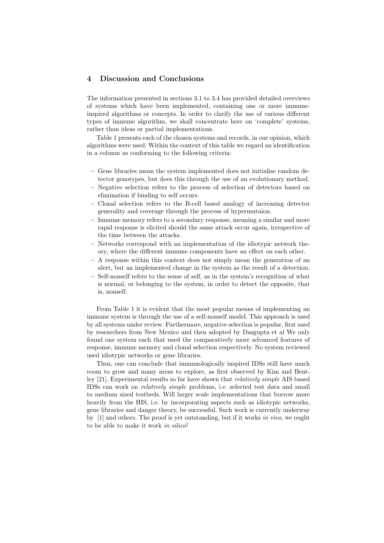# 4 Discussion and Conclusions

The information presented in sections 3.1 to 3.4 has provided detailed overviews of systems which have been implemented, containing one or more immuneinspired algorithms or concepts. In order to clarify the use of various different types of immune algorithm, we shall concentrate here on 'complete' systems, rather than ideas or partial implementations.

Table 1 presents each of the chosen systems and records, in our opinion, which algorithms were used. Within the context of this table we regard an identification in a column as conforming to the following criteria:

- Gene libraries mean the system implemented does not initialise random detector genotypes, but does this through the use of an evolutionary method.
- Negative selection refers to the process of selection of detectors based on elimination if binding to self occurs.
- Clonal selection refers to the B-cell based analogy of increasing detector generality and coverage through the process of hypermutaion.
- Immune memory refers to a secondary response, meaning a similar and more rapid response is elicited should the same attack occur again, irrespective of the time between the attacks.
- Networks correspond with an implementation of the idiotypic network theory, where the different immune components have an effect on each other.
- A response within this context does not simply mean the generation of an alert, but an implemented change in the system as the result of a detection.
- Self-nonself refers to the sense of self, as in the system's recognition of what is normal, or belonging to the system, in order to detect the opposite, that is, nonself.

From Table 1 it is evident that the most popular means of implementing an immune system is through the use of a self-nonself model. This approach is used by all systems under review. Furthermore, negative selection is popular, first used by researchers from New Mexico and then adopted by Dasgupta et al We only found one system each that used the comparatively more advanced features of response, immune memory and clonal selection respectively. No system reviewed used idiotypic networks or gene libraries.

Thus, one can conclude that immunologically inspired IDSs still have much room to grow and many areas to explore, as first observed by Kim and Bentley [21]. Experimental results so far have shown that relatively simple AIS based IDSs can work on relatively simple problems, i.e. selected test data and small to medium sized testbeds. Will larger scale implementations that borrow more heavily from the HIS, i.e. by incorporating aspects such as idiotypic networks, gene libraries and danger theory, be successful. Such work is currently underway by  $[1]$  and others. The proof is yet outstanding, but if it works in vivo, we ought to be able to make it work in silico!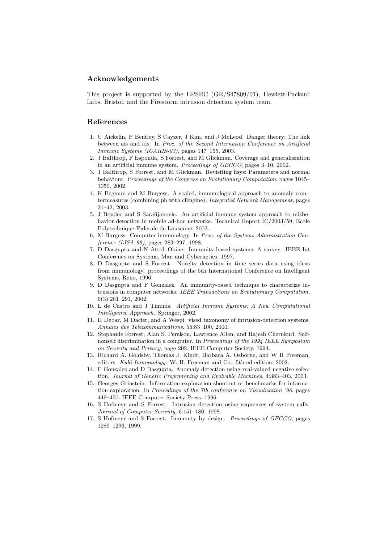### Acknowledgements

This project is supported by the EPSRC (GR/S47809/01), Hewlett-Packard Labs, Bristol, and the Firestorm intrusion detection system team.

### References

- 1. U Aickelin, P Bentley, S Cayzer, J Kim, and J McLeod. Danger theory: The link between ais and ids. In Proc. of the Second Internation Conference on Artificial Immune Systems (ICARIS-03), pages 147–155, 2003.
- 2. J Balthrop, F Esponda, S Forrest, and M Glickman. Coverage and generaliszation in an artificial immune system. Proceedings of GECCO, pages 3–10, 2002.
- 3. J Balthrop, S Forrest, and M Glickman. Revisiting lisys: Parameters and normal behaviour. Proceedings of the Congress on Evolutionary Computation, pages 1045– 1050, 2002.
- 4. K Begnum and M Burgess. A scaled, immunological approach to anomaly countermeasures (combining ph with cfengine). Integrated Network Management, pages 31–42, 2003.
- 5. J Boudec and S Sarafijanovic. An artificial immune system approach to misbehavior detection in mobile ad-hoc networks. Technical Report IC/2003/59, Ecole Polytechnique Federale de Lausanne, 2003.
- 6. M Burgess. Computer immunology. In Proc. of the Systems Administration Conference (LISA-98), pages 283-297, 1998.
- 7. D Dasgupta and N Attoh-Okine. Immunity-based systems: A survey. IEEE Int Conference on Systems, Man and Cybernetics, 1997.
- 8. D Dasgupta and S Forrest. Novelty detection in time series data using ideas from immunology. proceedings of the 5th International Conference on Intelligent Systems, Reno, 1996.
- 9. D Dasgupta and F Gonzalez. An immunity-based technique to characterize intrusions in computer networks. IEEE Transactions on Evolutionary Computation, 6(3):281–291, 2002.
- 10. L de Castro and J Timmis. Artificial Immune Systems: A New Computational Intelligence Approach. Springer, 2002.
- 11. H Debar, M Dacier, and A Wespi. vised taxonomy of intrusion-detection systems. Annales des Telecommunications, 55:83–100, 2000.
- 12. Stephanie Forrest, Alan S. Perelson, Lawrence Allen, and Rajesh Cherukuri. Selfnonself discrimination in a computer. In Proceedings of the 1994 IEEE Symposium on Security and Privacy, page 202. IEEE Computer Society, 1994.
- 13. Richard A. Goldsby, Thomas J. Kindt, Barbara A. Osborne, and W H Freeman, editors. Kubi Immunology. W. H. Freeman and Co., 5th ed edition, 2002.
- 14. F Gonzalez and D Dasgupta. Anomaly detection using real-valued negative selection. Journal of Genetic Programming and Evolvable Machines, 4:383–403, 2003.
- 15. Georges Grinstein. Information exploration shootout or benchmarks for information exploration. In Proceedings of the 7th conference on Visualization '96, pages 449–450. IEEE Computer Society Press, 1996.
- 16. S Hofmeyr and S Forrest. Intrusion detection using sequences of system calls. Journal of Computer Security, 6:151–180, 1998.
- 17. S Hofmeyr and S Forrest. Immunity by design. Proceedings of GECCO, pages 1289–1296, 1999.